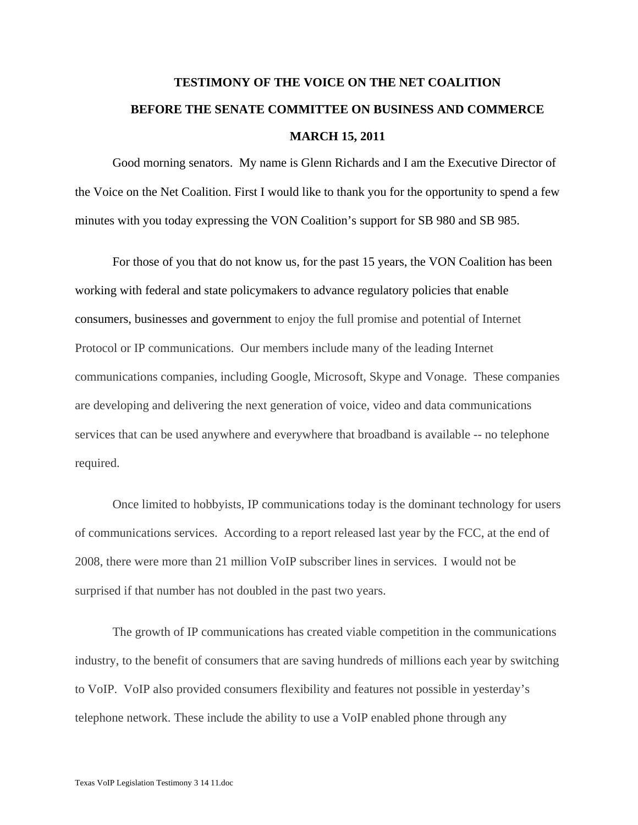## **TESTIMONY OF THE VOICE ON THE NET COALITION BEFORE THE SENATE COMMITTEE ON BUSINESS AND COMMERCE MARCH 15, 2011**

Good morning senators. My name is Glenn Richards and I am the Executive Director of the Voice on the Net Coalition. First I would like to thank you for the opportunity to spend a few minutes with you today expressing the VON Coalition's support for SB 980 and SB 985.

For those of you that do not know us, for the past 15 years, the VON Coalition has been working with federal and state policymakers to advance regulatory policies that enable consumers, businesses and government to enjoy the full promise and potential of Internet Protocol or IP communications. Our members include many of the leading Internet communications companies, including Google, Microsoft, Skype and Vonage. These companies are developing and delivering the next generation of voice, video and data communications services that can be used anywhere and everywhere that broadband is available -- no telephone required.

Once limited to hobbyists, IP communications today is the dominant technology for users of communications services. According to a report released last year by the FCC, at the end of 2008, there were more than 21 million VoIP subscriber lines in services. I would not be surprised if that number has not doubled in the past two years.

 The growth of IP communications has created viable competition in the communications industry, to the benefit of consumers that are saving hundreds of millions each year by switching to VoIP. VoIP also provided consumers flexibility and features not possible in yesterday's telephone network. These include the ability to use a VoIP enabled phone through any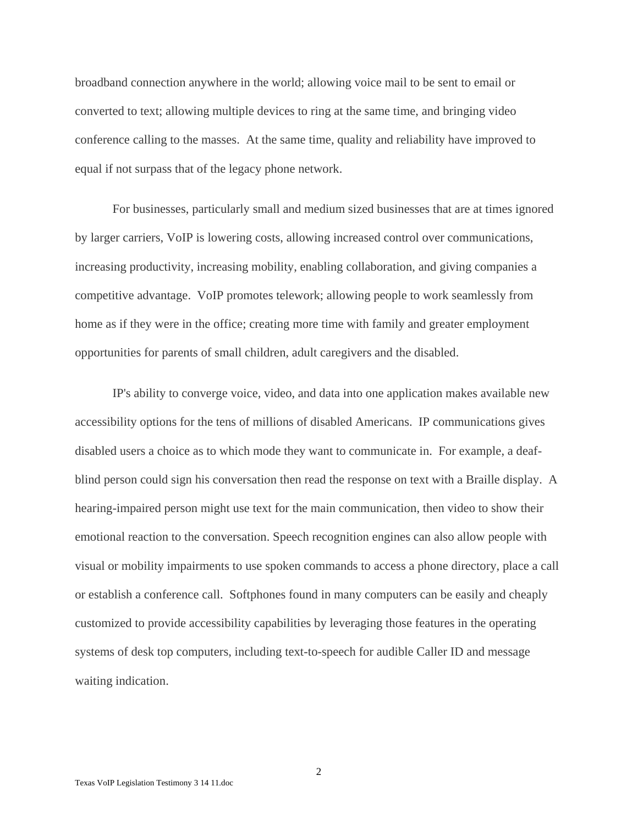broadband connection anywhere in the world; allowing voice mail to be sent to email or converted to text; allowing multiple devices to ring at the same time, and bringing video conference calling to the masses. At the same time, quality and reliability have improved to equal if not surpass that of the legacy phone network.

 For businesses, particularly small and medium sized businesses that are at times ignored by larger carriers, VoIP is lowering costs, allowing increased control over communications, increasing productivity, increasing mobility, enabling collaboration, and giving companies a competitive advantage. VoIP promotes telework; allowing people to work seamlessly from home as if they were in the office; creating more time with family and greater employment opportunities for parents of small children, adult caregivers and the disabled.

IP's ability to converge voice, video, and data into one application makes available new accessibility options for the tens of millions of disabled Americans. IP communications gives disabled users a choice as to which mode they want to communicate in. For example, a deafblind person could sign his conversation then read the response on text with a Braille display. A hearing-impaired person might use text for the main communication, then video to show their emotional reaction to the conversation. Speech recognition engines can also allow people with visual or mobility impairments to use spoken commands to access a phone directory, place a call or establish a conference call. Softphones found in many computers can be easily and cheaply customized to provide accessibility capabilities by leveraging those features in the operating systems of desk top computers, including text-to-speech for audible Caller ID and message waiting indication.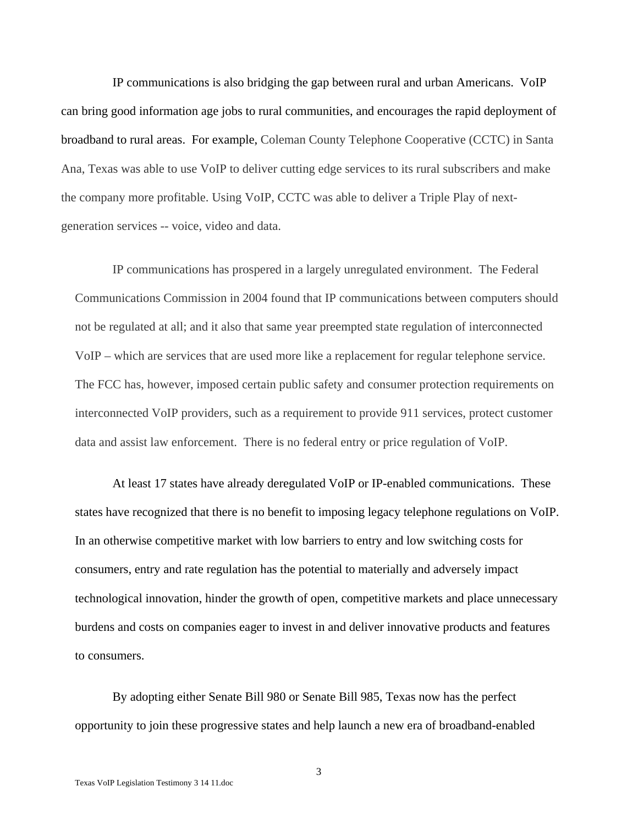IP communications is also bridging the gap between rural and urban Americans. VoIP can bring good information age jobs to rural communities, and encourages the rapid deployment of broadband to rural areas. For example, Coleman County Telephone Cooperative (CCTC) in Santa Ana, Texas was able to use VoIP to deliver cutting edge services to its rural subscribers and make the company more profitable. Using VoIP, CCTC was able to deliver a Triple Play of nextgeneration services -- voice, video and data.

IP communications has prospered in a largely unregulated environment. The Federal Communications Commission in 2004 found that IP communications between computers should not be regulated at all; and it also that same year preempted state regulation of interconnected VoIP – which are services that are used more like a replacement for regular telephone service. The FCC has, however, imposed certain public safety and consumer protection requirements on interconnected VoIP providers, such as a requirement to provide 911 services, protect customer data and assist law enforcement. There is no federal entry or price regulation of VoIP.

At least 17 states have already deregulated VoIP or IP-enabled communications. These states have recognized that there is no benefit to imposing legacy telephone regulations on VoIP. In an otherwise competitive market with low barriers to entry and low switching costs for consumers, entry and rate regulation has the potential to materially and adversely impact technological innovation, hinder the growth of open, competitive markets and place unnecessary burdens and costs on companies eager to invest in and deliver innovative products and features to consumers.

By adopting either Senate Bill 980 or Senate Bill 985, Texas now has the perfect opportunity to join these progressive states and help launch a new era of broadband-enabled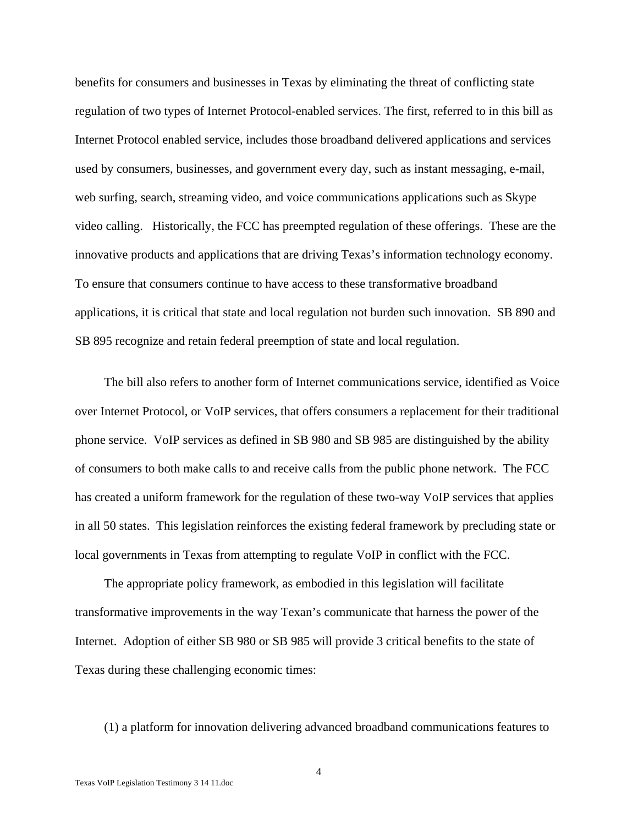benefits for consumers and businesses in Texas by eliminating the threat of conflicting state regulation of two types of Internet Protocol-enabled services. The first, referred to in this bill as Internet Protocol enabled service, includes those broadband delivered applications and services used by consumers, businesses, and government every day, such as instant messaging, e-mail, web surfing, search, streaming video, and voice communications applications such as Skype video calling. Historically, the FCC has preempted regulation of these offerings. These are the innovative products and applications that are driving Texas's information technology economy. To ensure that consumers continue to have access to these transformative broadband applications, it is critical that state and local regulation not burden such innovation. SB 890 and SB 895 recognize and retain federal preemption of state and local regulation.

 The bill also refers to another form of Internet communications service, identified as Voice over Internet Protocol, or VoIP services, that offers consumers a replacement for their traditional phone service. VoIP services as defined in SB 980 and SB 985 are distinguished by the ability of consumers to both make calls to and receive calls from the public phone network. The FCC has created a uniform framework for the regulation of these two-way VoIP services that applies in all 50 states. This legislation reinforces the existing federal framework by precluding state or local governments in Texas from attempting to regulate VoIP in conflict with the FCC.

 The appropriate policy framework, as embodied in this legislation will facilitate transformative improvements in the way Texan's communicate that harness the power of the Internet. Adoption of either SB 980 or SB 985 will provide 3 critical benefits to the state of Texas during these challenging economic times:

(1) a platform for innovation delivering advanced broadband communications features to